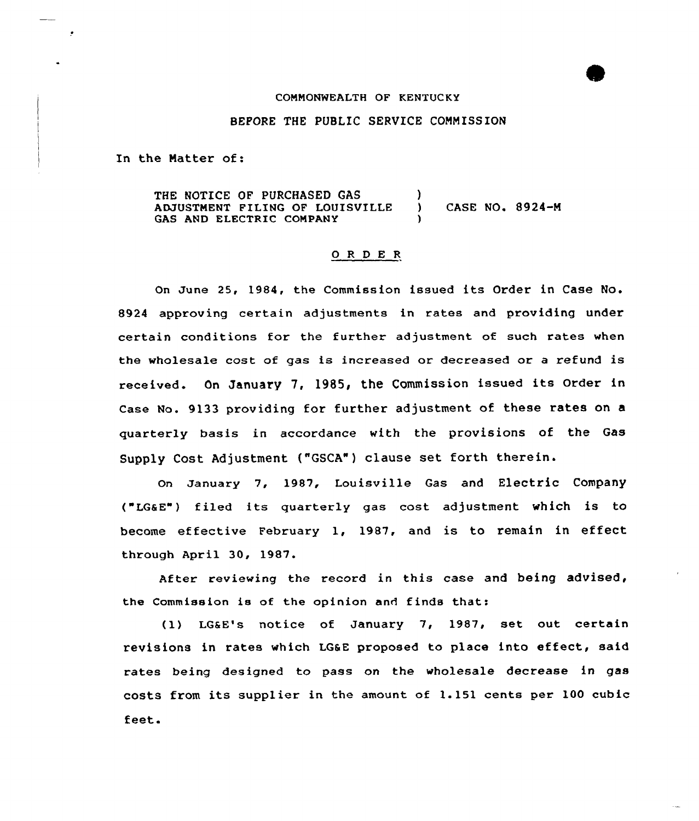### COMMONWEALTH OF KENTUCKY

## BEFORE THE PUBLIC SERVICE COMMISSION

In the Natter of:

THE NOTICE OF PURCHASED GAS ADJUSTNENT FILING OF LOUISVILLE GAS AND ELECTRIC CONPANY ) ) CASE NO. 8924-M )

### 0 <sup>R</sup> <sup>D</sup> E <sup>R</sup>

On June 25, 1984, the Commission issued its Order in Case No. 8924 approving certain adjustments in rates and providing under certain conditions for the further adjustment of such rates when the wholesale cost of gas is increased or decreased or a refund is received. On January 7, 1985, the Commission issued its Order in Case No. 9133 providing for further adjustment of these rates on a quarterly basis in accordance with the provisions of the Gas Supply Cost Adjustment ("GSCA") clause set forth therein.

on January 7, 1987, Louisville Gas and Electric Company ("LG6E") filed its quarterly gas cost adjustment which is to become effective February 1, 1987, and is to remain in effect through April 30, 1987.

After reviewing the record in this case and being advised, the Commission is of the opinion and finds that:

(1) LGaE's notice of January 7, 1987, set out certain revisions in rates which LGsE proposed to place into effect, said rates being designed to pass on the wholesale decrease in gas costs from its supplier in the amount of 1.151 cents per 100 cubic feet.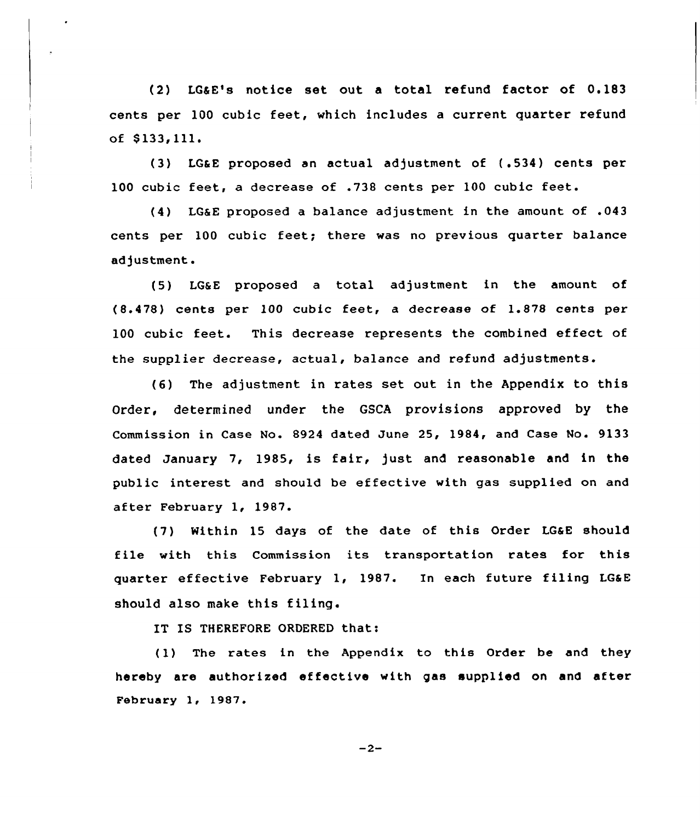(2) LGaE's notice set out a total refund factor of 0.183 cents per 100 cubic feet, which includes a current quarter refund of \$ 133,111.

(3) LG&E proposed an actual adjustment of (.534) cents per 100 cubic feet, <sup>a</sup> decrease of .738 cents per 100 cubic feet.

(4) LGaE proposed a balance adjustment in the amount of .043 cents per 100 cubic feet; there was no previous quarter balance adjustment.

(5) LG&E proposed <sup>a</sup> total adjustment in the amount of (8.478) cents per 100 cubic feet, <sup>a</sup> decrease of 1.878 cents per 100 cubic feet. This decrease represents the combined effect of the supplier decrease, actual, balance and refund adjustments.

(6) The adjustment in rates set out in the Appendix to this Order, determined under the GSCA provisions approved by the Commission in Case No. 8924 dated June 25, 1984, and Case No. 9133 dated January 7, 1985, is fair, just and reasonable and in the public interest and should be effective with gas supplied on and after February 1, 1987.

(7) Within 15 days of the date of this Order LGaE should file with this Commission its transportation rates for this quarter effective February 1, 1987. In each future filing LGaE should also make this filing.

IT IS THEREFORE ORDERED that:

(1) The rates in the Appendix to this Order be and they hereby are authorized effective with gas supplied on and after February 1, 1987.

 $-2-$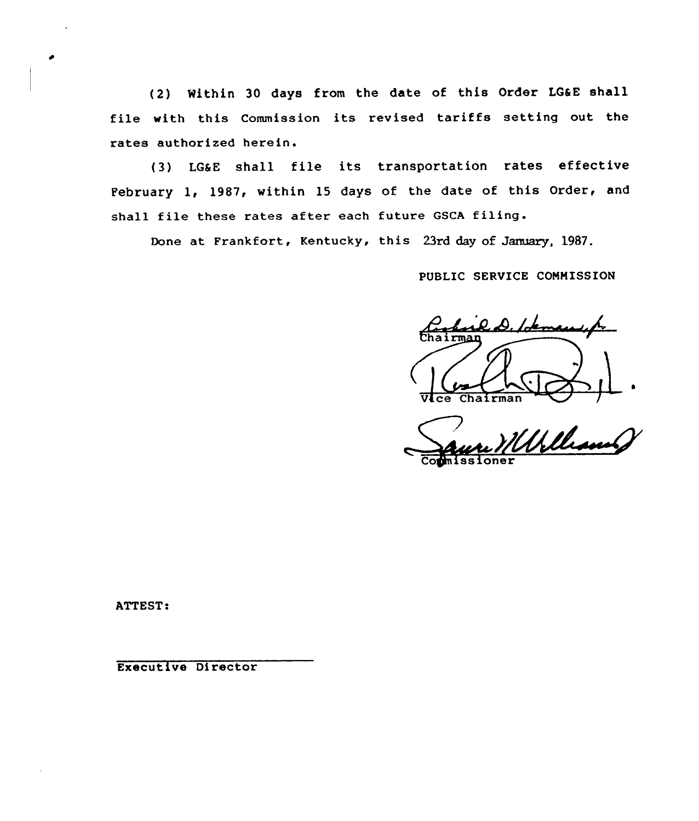(2) Within 30 days from the date of this Order LGaE shall file with this Commission its revised tariffs setting out the rates authorized herein.

{3) LGaE shall file its transportation rates effective February 1, 1987, within 15 days of the date of this Order, and shall file these rates after each future GSCA filing.

Done at Frankfort, Kentucky, this 23rd day of January, 1987.

PUBLIC SERUICE COMMISSION

 $l$ demo $l$ rI .  $ce$  Chairman

~'

Cogmissione

ATTEST:

Executive Director